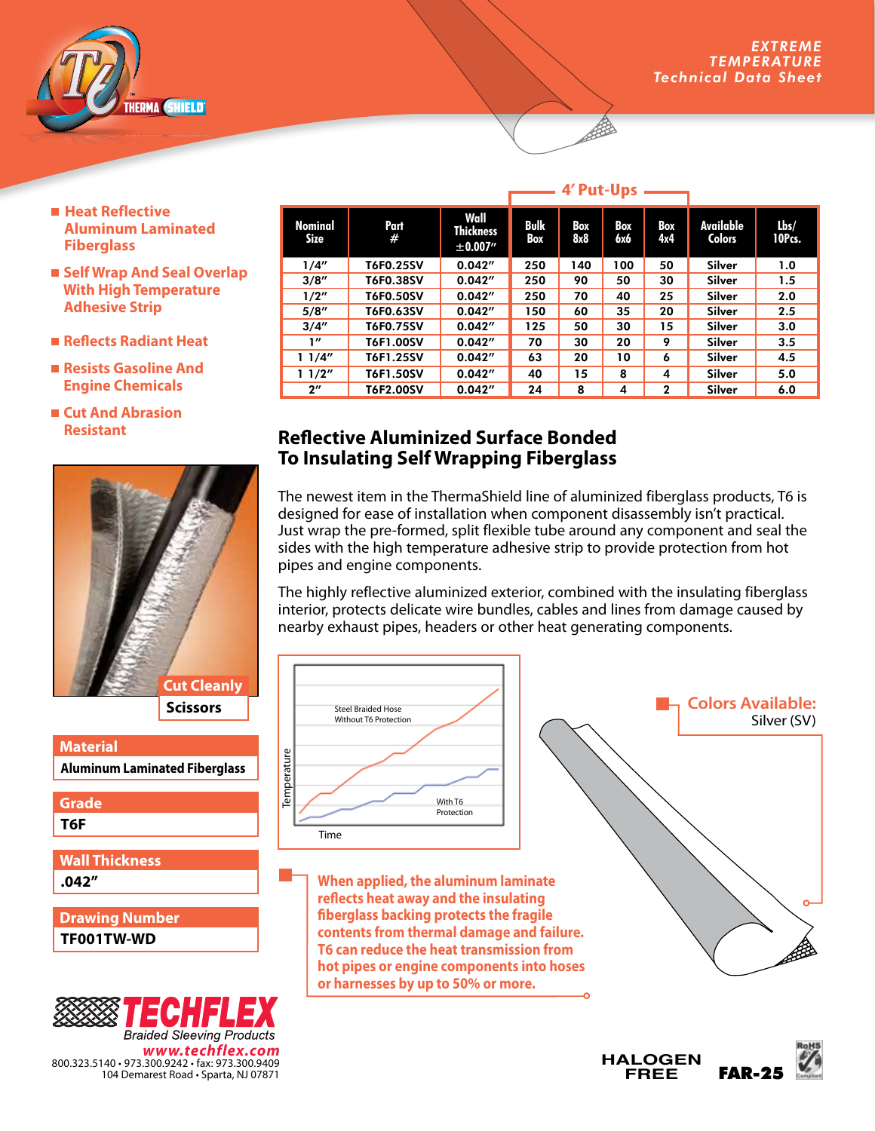

- Heat Reflective  **Aluminum Laminated Fiberglass**
- **Self Wrap And Seal Overlap With High Temperature Adhesive Strip**
- **Reflects Radiant Heat**
- **Resists Gasoline And Engine Chemicals**
- **Cut And Abrasion Resistant**



| <b>Material</b>                      |
|--------------------------------------|
| <b>Aluminum Laminated Fiberglass</b> |
| <b>Grade</b>                         |
| T6F                                  |
|                                      |
| <b>Wall Thickness</b>                |
| .042"                                |
|                                      |
| <b>Drawing Number</b>                |
| TF001TW-WD                           |



|                    |           |                                       | . <i>.</i>  |            |            |              |                            |                   |  |
|--------------------|-----------|---------------------------------------|-------------|------------|------------|--------------|----------------------------|-------------------|--|
| Nominal<br>Size    | Part<br># | Wall<br><b>Thickness</b><br>± 0.007'' | Bulk<br>Box | Box<br>8x8 | Box<br>6х6 | Box<br>4x4   | Available<br><b>Colors</b> | $l$ bs/<br>10Pcs. |  |
| 1/4"               | T6F0.25SV | 0.042''                               | 250         | 140        | 100        | 50           | Silver                     | 1.0               |  |
| 3/8''              | T6F0.38SV | 0.042''                               | 250         | 90         | 50         | 30           | Silver                     | 1.5               |  |
| 1/2"               | T6F0.50SV | 0.042''                               | 250         | 70         | 40         | 25           | Silver                     | 2.0               |  |
| 5/8''              | T6F0.63SV | 0.042''                               | 150         | 60         | 35         | 20           | Silver                     | 2.5               |  |
| 3/4''              | T6F0.75SV | 0.042''                               | 125         | 50         | 30         | 15           | Silver                     | 3.0               |  |
| 1''                | T6F1.00SV | 0.042''                               | 70          | 30         | 20         | 9            | Silver                     | 3.5               |  |
| 11/4"              | T6F1.25SV | 0.042''                               | 63          | 20         | 10         | 6            | Silver                     | 4.5               |  |
| 11/2"              | T6F1.50SV | 0.042''                               | 40          | 15         | 8          | 4            | Silver                     | 5.0               |  |
| $2^{\prime\prime}$ | T6F2.00SV | 0.042''                               | 24          | 8          | 4          | $\mathbf{2}$ | Silver                     | 6.0               |  |

## **Reflective Aluminized Surface Bonded To Insulating Self Wrapping Fiberglass**

The newest item in the ThermaShield line of aluminized fiberglass products, T6 is designed for ease of installation when component disassembly isn't practical. Just wrap the pre-formed, split flexible tube around any component and seal the sides with the high temperature adhesive strip to provide protection from hot pipes and engine components.

The highly reflective aluminized exterior, combined with the insulating fiberglass interior, protects delicate wire bundles, cables and lines from damage caused by nearby exhaust pipes, headers or other heat generating components.





## **4' Put-Ups**